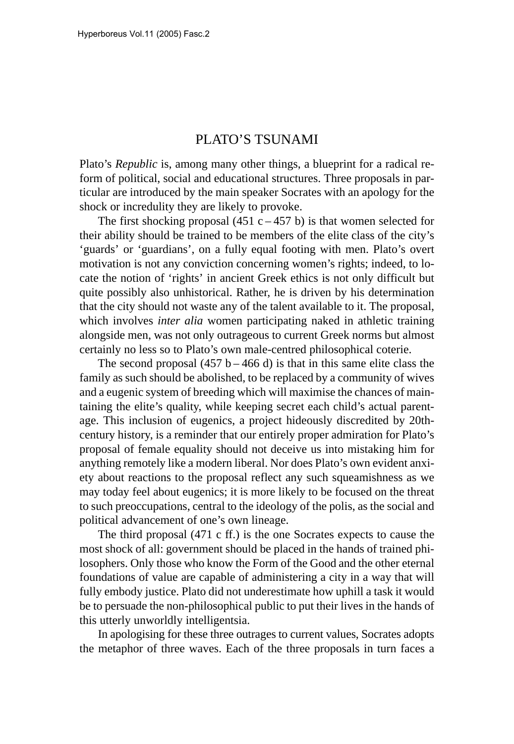# PLATO'S TSUNAMI

Plato's *Republic* is, among many other things, a blueprint for a radical reform of political, social and educational structures. Three proposals in particular are introduced by the main speaker Socrates with an apology for the shock or incredulity they are likely to provoke.

The first shocking proposal (451 c – 457 b) is that women selected for their ability should be trained to be members of the elite class of the city's 'guards' or 'guardians', on a fully equal footing with men. Plato's overt motivation is not any conviction concerning women's rights; indeed, to locate the notion of 'rights' in ancient Greek ethics is not only difficult but quite possibly also unhistorical. Rather, he is driven by his determination that the city should not waste any of the talent available to it. The proposal, which involves *inter alia* women participating naked in athletic training alongside men, was not only outrageous to current Greek norms but almost certainly no less so to Plato's own male-centred philosophical coterie.

The second proposal  $(457 b - 466 d)$  is that in this same elite class the family as such should be abolished, to be replaced by a community of wives and a eugenic system of breeding which will maximise the chances of maintaining the elite's quality, while keeping secret each child's actual parentage. This inclusion of eugenics, a project hideously discredited by 20thcentury history, is a reminder that our entirely proper admiration for Plato's proposal of female equality should not deceive us into mistaking him for anything remotely like a modern liberal. Nor does Plato's own evident anxiety about reactions to the proposal reflect any such squeamishness as we may today feel about eugenics; it is more likely to be focused on the threat to such preoccupations, central to the ideology of the polis, as the social and political advancement of one's own lineage.

The third proposal (471 c ff.) is the one Socrates expects to cause the most shock of all: government should be placed in the hands of trained philosophers. Only those who know the Form of the Good and the other eternal foundations of value are capable of administering a city in a way that will fully embody justice. Plato did not underestimate how uphill a task it would be to persuade the non-philosophical public to put their lives in the hands of this utterly unworldly intelligentsia.

In apologising for these three outrages to current values, Socrates adopts the metaphor of three waves. Each of the three proposals in turn faces a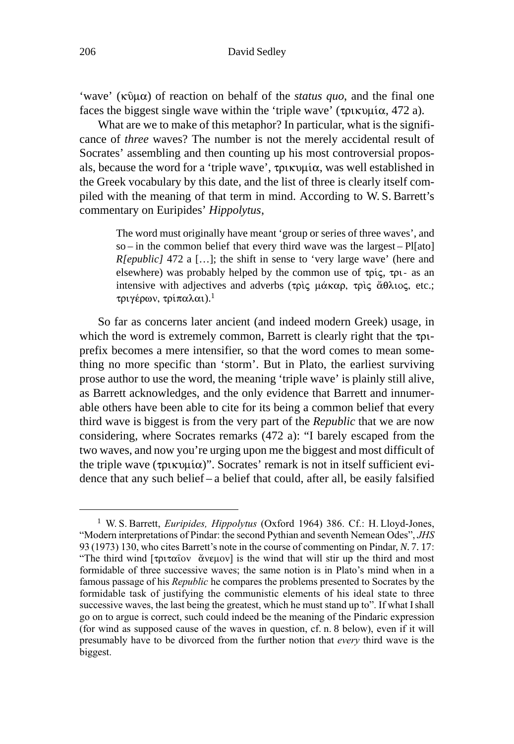'wave' ( $\kappa \hat{v}$  $\mu \alpha$ ) of reaction on behalf of the *status quo*, and the final one faces the biggest single wave within the 'triple wave' ( $\tau$  $\alpha$  $\lambda$  472 a).

What are we to make of this metaphor? In particular, what is the significance of *three* waves? The number is not the merely accidental result of Socrates' assembling and then counting up his most controversial proposals, because the word for a 'triple wave',  $\tau \rho \mu \omega$ , was well established in the Greek vocabulary by this date, and the list of three is clearly itself compiled with the meaning of that term in mind. According to W. S. Barrett's commentary on Euripides' *Hippolytus*,

> The word must originally have meant 'group or series of three waves', and so – in the common belief that every third wave was the largest – Pl[ato] *R[epublic]* 472 a [...]; the shift in sense to 'very large wave' (here and elsewhere) was probably helped by the common use of τρίς, τρι- as an intensive with adjectives and adverbs (τρὶς μάκαρ, τρὶς ἄθλιος, etc.; τριγέρων, τρίπαλαι).<sup>1</sup>

So far as concerns later ancient (and indeed modern Greek) usage, in which the word is extremely common, Barrett is clearly right that the  $\tau_{\text{PL}}$ prefix becomes a mere intensifier, so that the word comes to mean something no more specific than 'storm'. But in Plato, the earliest surviving prose author to use the word, the meaning 'triple wave' is plainly still alive, as Barrett acknowledges, and the only evidence that Barrett and innumerable others have been able to cite for its being a common belief that every third wave is biggest is from the very part of the *Republic* that we are now considering, where Socrates remarks (472 a): "I barely escaped from the two waves, and now you're urging upon me the biggest and most difficult of the triple wave ( $\tau$ pικυμία)". Socrates' remark is not in itself sufficient evidence that any such belief – a belief that could, after all, be easily falsified

<sup>&</sup>lt;sup>1</sup> W. S. Barrett, Euripides, Hippolytus (Oxford 1964) 386. Cf.: H. Lloyd-Jones, "Modern interpretations of Pindar: the second Pythian and seventh Nemean Odes", JHS 93 (1973) 130, who cites Barrett's note in the course of commenting on Pindar, N. 7. 17: "The third wind  $[\tau \rho \tau \alpha \hat{\alpha} \circ \nu \alpha \hat{\alpha}]$  is the wind that will stir up the third and most formidable of three successive waves; the same notion is in Plato's mind when in a famous passage of his Republic he compares the problems presented to Socrates by the formidable task of justifying the communistic elements of his ideal state to three successive waves, the last being the greatest, which he must stand up to". If what I shall go on to argue is correct, such could indeed be the meaning of the Pindaric expression (for wind as supposed cause of the waves in question, cf. n. 8 below), even if it will presumably have to be divorced from the further notion that every third wave is the biggest.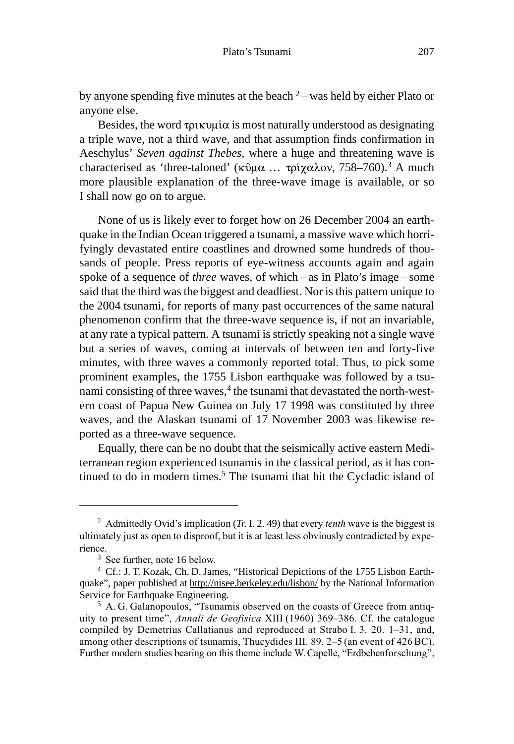by anyone spending five minutes at the beach  $2$  – was held by either Plato or anyone else.

Besides, the word  $\tau$  pux  $\mu$  is most naturally understood as designating a triple wave, not a third wave, and that assumption finds confirmation in Aeschylus' *Seven against Thebes*, where a huge and threatening wave is characterised as 'three-taloned' (κῦμα ... τρίχαλον, 758–760).<sup>3</sup> A much more plausible explanation of the three-wave image is available, or so I shall now go on to argue.

None of us is likely ever to forget how on 26 December 2004 an earthquake in the Indian Ocean triggered a tsunami, a massive wave which horrifyingly devastated entire coastlines and drowned some hundreds of thousands of people. Press reports of eye-witness accounts again and again spoke of a sequence of *three* waves, of which – as in Plato's image – some said that the third was the biggest and deadliest. Nor is this pattern unique to the 2004 tsunami, for reports of many past occurrences of the same natural phenomenon confirm that the three-wave sequence is, if not an invariable, at any rate a typical pattern. A tsunami is strictly speaking not a single wave but a series of waves, coming at intervals of between ten and forty-five minutes, with three waves a commonly reported total. Thus, to pick some prominent examples, the 1755 Lisbon earthquake was followed by a tsunami consisting of three waves,<sup>4</sup> the tsunami that devastated the north-western coast of Papua New Guinea on July 17 1998 was constituted by three waves, and the Alaskan tsunami of 17 November 2003 was likewise reported as a three-wave sequence.

Equally, there can be no doubt that the seismically active eastern Mediterranean region experienced tsunamis in the classical period, as it has continued to do in modern times.<sup>5</sup> The tsunami that hit the Cycladic island of

<sup>&</sup>lt;sup>2</sup> Admittedly Ovid's implication (*Tr.* I. 2. 49) that every *tenth* wave is the biggest is ultimately just as open to disproof, but it is at least less obviously contradicted by expe $r$  rience

 $3$  See further, note 16 below.

<sup>4</sup> Cf.: J. T. Kozak, Ch. D. James, "Historical Depictions of the 1755 Lisbon Earthquake", paper published at http://nisee.berkeley.edu/lisbon/ by the National Information Service for Earthquake Engineering.

 $5$  A. G. Galanopoulos, "Tsunamis observed on the coasts of Greece from antiquity to present time", Annali de Geofisica XIII (1960) 369–386. Cf. the catalogue compiled by Demetrius Callatianus and reproduced at Strabo I. 3. 20. 1–31, and, among other descriptions of tsunamis, Thucydides III. 89. 2–5 (an event of 426 BC). Further modern studies bearing on this theme include W. Capelle, "Erdbebenforschung",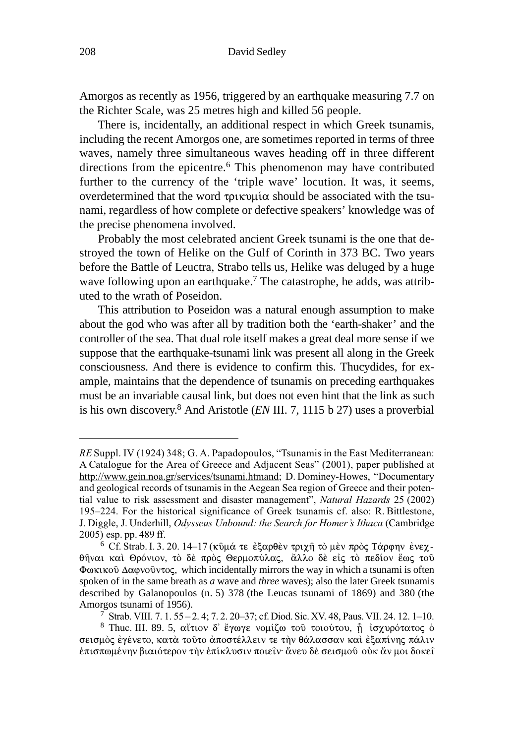Amorgos as recently as 1956, triggered by an earthquake measuring 7.7 on the Richter Scale, was 25 metres high and killed 56 people.

There is, incidentally, an additional respect in which Greek tsunamis, including the recent Amorgos one, are sometimes reported in terms of three waves, namely three simultaneous waves heading off in three different directions from the epicentre.<sup>6</sup> This phenomenon may have contributed further to the currency of the 'triple wave' locution. It was, it seems, overdetermined that the word  $\tau$ *pukvula* should be associated with the tsunami, regardless of how complete or defective speakers' knowledge was of the precise phenomena involved.

Probably the most celebrated ancient Greek tsunami is the one that destroyed the town of Helike on the Gulf of Corinth in 373 BC. Two years before the Battle of Leuctra, Strabo tells us, Helike was deluged by a huge wave following upon an earthquake.<sup>7</sup> The catastrophe, he adds, was attributed to the wrath of Poseidon.

This attribution to Poseidon was a natural enough assumption to make about the god who was after all by tradition both the 'earth-shaker' and the controller of the sea. That dual role itself makes a great deal more sense if we suppose that the earthquake-tsunami link was present all along in the Greek consciousness. And there is evidence to confirm this. Thucydides, for example, maintains that the dependence of tsunamis on preceding earthquakes must be an invariable causal link, but does not even hint that the link as such is his own discovery.8 And Aristotle (*EN* III. 7, 1115 b 27) uses a proverbial

RE Suppl. IV (1924) 348; G. A. Papadopoulos, "Tsunamis in the East Mediterranean: A Catalogue for the Area of Greece and Adjacent Seas" (2001), paper published at http://www.gein.noa.gr/services/tsunami.htmand; D. Dominey-Howes, "Documentary and geological records of tsunamis in the Aegean Sea region of Greece and their potential value to risk assessment and disaster management", Natural Hazards 25 (2002) 195–224. For the historical significance of Greek tsunamis cf. also: R. Bittlestone, J. Diggle, J. Underhill, Odysseus Unbound: the Search for Homer's Ithaca (Cambridge 2005) esp. pp. 489 ff.

<sup>&</sup>lt;sup>6</sup> Cf. Strab. I. 3. 20. 14–17 (κῦμά τε ἐξαρθὲν τριχῆ τὸ μὲν πρὸς Τάρφην ἐνεχθῆναι καὶ Θρόνιον, τὸ δὲ πρὸς Θερμοπύλας, ἄλλο δὲ εἰς τὸ πεδίον ἕως τοῦ Φωκικού Δαφνοῦντος, which incidentally mirrors the way in which a tsunami is often spoken of in the same breath as *a* wave and *three* waves); also the later Greek tsunamis described by Galanopoulos (n. 5) 378 (the Leucas tsunami of 1869) and 380 (the Amorgos tsunami of 1956).

<sup>&</sup>lt;sup>7</sup> Strab. VIII. 7. 1. 55 – 2. 4; 7. 2. 20–37; cf. Diod. Sic. XV. 48, Paus. VII. 24. 12. 1–10.

<sup>&</sup>lt;sup>8</sup> Thuc. III. 89. 5, αἴτιον δ' ἔγωγε νομίζω του τοιούτου, ή ισχυρότατος ο σεισμὸς ἐγένετο, κατὰ τοῦτο ἀποστέλλειν τε τὴν θάλασσαν καὶ ἐξαπίνης πάλιν ἐπισπωμένην βιαιότερον τὴν ἐπίκλυσιν ποιεῖν· ἄνευ δὲ σεισμοῦ οὐκ ἄν μοι δοκεῖ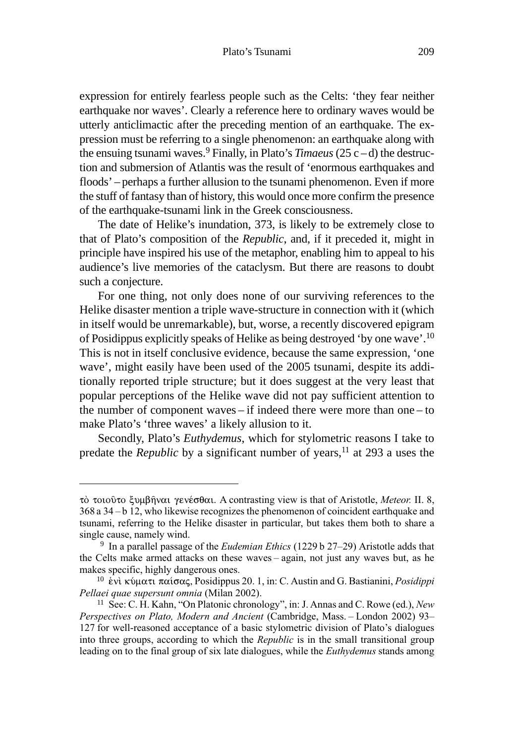expression for entirely fearless people such as the Celts: 'they fear neither earthquake nor waves'. Clearly a reference here to ordinary waves would be utterly anticlimactic after the preceding mention of an earthquake. The expression must be referring to a single phenomenon: an earthquake along with the ensuing tsunami waves.<sup>9</sup> Finally, in Plato's *Timaeus* (25 c – d) the destruction and submersion of Atlantis was the result of 'enormous earthquakes and floods' – perhaps a further allusion to the tsunami phenomenon. Even if more the stuff of fantasy than of history, this would once more confirm the presence of the earthquake-tsunami link in the Greek consciousness.

The date of Helike's inundation, 373, is likely to be extremely close to that of Plato's composition of the *Republic*, and, if it preceded it, might in principle have inspired his use of the metaphor, enabling him to appeal to his audience's live memories of the cataclysm. But there are reasons to doubt such a conjecture.

For one thing, not only does none of our surviving references to the Helike disaster mention a triple wave-structure in connection with it (which in itself would be unremarkable), but, worse, a recently discovered epigram of Posidippus explicitly speaks of Helike as being destroyed 'by one wave'.10 This is not in itself conclusive evidence, because the same expression, 'one wave', might easily have been used of the 2005 tsunami, despite its additionally reported triple structure; but it does suggest at the very least that popular perceptions of the Helike wave did not pay sufficient attention to the number of component waves – if indeed there were more than one – to make Plato's 'three waves' a likely allusion to it.

Secondly, Plato's *Euthydemus*, which for stylometric reasons I take to predate the *Republic* by a significant number of years,<sup>11</sup> at 293 a uses the

τό τοιούτο ξυμβήναι γενέσθαι. A contrasting view is that of Aristotle, Meteor. II. 8,  $368$  a  $34 - b$  12, who likewise recognizes the phenomenon of coincident earthquake and tsunami, referring to the Helike disaster in particular, but takes them both to share a single cause, namely wind.

<sup>&</sup>lt;sup>9</sup> In a parallel passage of the *Eudemian Ethics* (1229 b 27-29) Aristotle adds that the Celts make armed attacks on these waves - again, not just any waves but, as he makes specific, highly dangerous ones.

<sup>&</sup>lt;sup>10</sup> ένι κύματι παίσας, Posidippus 20. 1, in: C. Austin and G. Bastianini, *Posidippi* Pellaei quae supersunt omnia (Milan 2002).

<sup>&</sup>lt;sup>11</sup> See: C. H. Kahn, "On Platonic chronology", in: J. Annas and C. Rowe (ed.), New Perspectives on Plato, Modern and Ancient (Cambridge, Mass. - London 2002) 93-127 for well-reasoned acceptance of a basic stylometric division of Plato's dialogues into three groups, according to which the Republic is in the small transitional group leading on to the final group of six late dialogues, while the *Euthydemus* stands among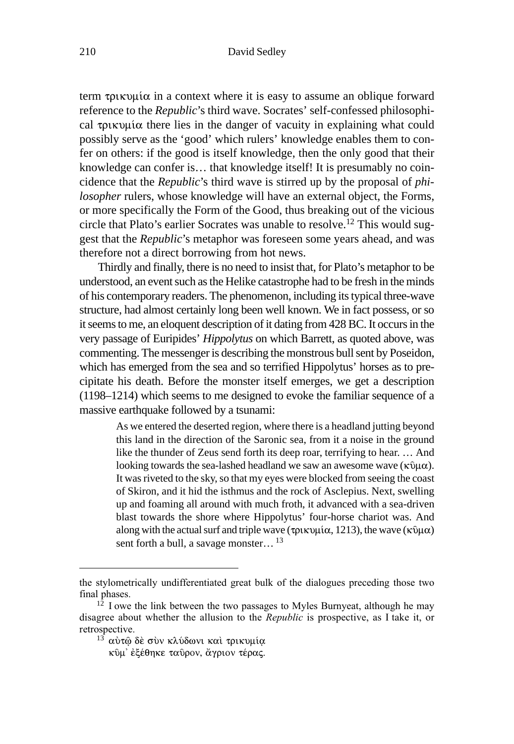#### 210 David Sedley

term  $\tau$ ρικυμία in a context where it is easy to assume an oblique forward reference to the *Republic*'s third wave. Socrates' self-confessed philosophical  $\tau$ ous  $\alpha$  there lies in the danger of vacuity in explaining what could possibly serve as the 'good' which rulers' knowledge enables them to confer on others: if the good is itself knowledge, then the only good that their knowledge can confer is… that knowledge itself! It is presumably no coincidence that the *Republic*'s third wave is stirred up by the proposal of *philosopher* rulers, whose knowledge will have an external object, the Forms, or more specifically the Form of the Good, thus breaking out of the vicious circle that Plato's earlier Socrates was unable to resolve.12 This would suggest that the *Republic*'s metaphor was foreseen some years ahead, and was therefore not a direct borrowing from hot news.

Thirdly and finally, there is no need to insist that, for Plato's metaphor to be understood, an event such as the Helike catastrophe had to be fresh in the minds of his contemporary readers. The phenomenon, including its typical three-wave structure, had almost certainly long been well known. We in fact possess, or so it seems to me, an eloquent description of it dating from 428 BC. It occurs in the very passage of Euripides' *Hippolytus* on which Barrett, as quoted above, was commenting. The messenger is describing the monstrous bull sent by Poseidon, which has emerged from the sea and so terrified Hippolytus' horses as to precipitate his death. Before the monster itself emerges, we get a description (1198–1214) which seems to me designed to evoke the familiar sequence of a massive earthquake followed by a tsunami:

> As we entered the deserted region, where there is a headland jutting beyond this land in the direction of the Saronic sea, from it a noise in the ground like the thunder of Zeus send forth its deep roar, terrifying to hear. … And looking towards the sea-lashed headland we saw an awesome wave ( $\kappa\hat{v}\mu\alpha$ ). It was riveted to the sky, so that my eyes were blocked from seeing the coast of Skiron, and it hid the isthmus and the rock of Asclepius. Next, swelling up and foaming all around with much froth, it advanced with a sea-driven blast towards the shore where Hippolytus' four-horse chariot was. And along with the actual surf and triple wave (τρικυμία, 1213), the wave (κῦμα) sent forth a bull, a savage monster...<sup>13</sup>

the stylometrically undifferentiated great bulk of the dialogues preceding those two final phases.

 $12$  I owe the link between the two passages to Myles Burnyeat, although he may disagree about whether the allusion to the *Republic* is prospective, as I take it, or retrospective.

 $13$  αύτω δέ συν κλύδωνι και τρικυμία

κῦμ᾽ ἐξέθηκε ταῦρον, ἄγριον τέρας.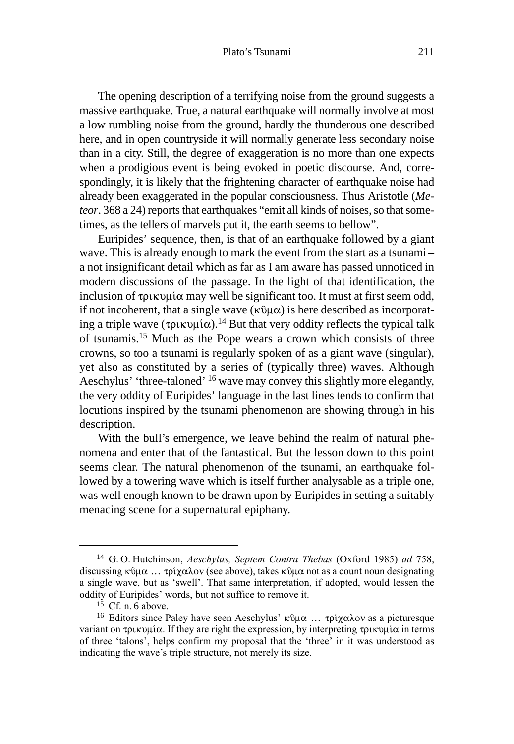The opening description of a terrifying noise from the ground suggests a massive earthquake. True, a natural earthquake will normally involve at most a low rumbling noise from the ground, hardly the thunderous one described here, and in open countryside it will normally generate less secondary noise than in a city. Still, the degree of exaggeration is no more than one expects when a prodigious event is being evoked in poetic discourse. And, correspondingly, it is likely that the frightening character of earthquake noise had already been exaggerated in the popular consciousness. Thus Aristotle (*Meteor*. 368 a 24) reports that earthquakes "emit all kinds of noises, so that sometimes, as the tellers of marvels put it, the earth seems to bellow".

Euripides' sequence, then, is that of an earthquake followed by a giant wave. This is already enough to mark the event from the start as a tsunami – a not insignificant detail which as far as I am aware has passed unnoticed in modern discussions of the passage. In the light of that identification, the inclusion of  $\tau$ ρικυμία may well be significant too. It must at first seem odd, if not incoherent, that a single wave  $(\kappa \hat{v} \mu \alpha)$  is here described as incorporating a triple wave ( $\tau$  $\rho$ ικυμία).<sup>14</sup> But that very oddity reflects the typical talk of tsunamis.15 Much as the Pope wears a crown which consists of three crowns, so too a tsunami is regularly spoken of as a giant wave (singular), yet also as constituted by a series of (typically three) waves. Although Aeschylus' 'three-taloned' 16 wave may convey this slightly more elegantly, the very oddity of Euripides' language in the last lines tends to confirm that locutions inspired by the tsunami phenomenon are showing through in his description.

With the bull's emergence, we leave behind the realm of natural phenomena and enter that of the fantastical. But the lesson down to this point seems clear. The natural phenomenon of the tsunami, an earthquake followed by a towering wave which is itself further analysable as a triple one, was well enough known to be drawn upon by Euripides in setting a suitably menacing scene for a supernatural epiphany.

<sup>&</sup>lt;sup>14</sup> G.O. Hutchinson, Aeschylus, Septem Contra Thebas (Oxford 1985) ad 758, discussing  $\kappa \hat{v} \mu \alpha$  ...  $\tau \rho \hat{i} \chi \alpha \lambda \sigma \nu$  (see above), takes  $\kappa \hat{v} \mu \alpha$  not as a count noun designating a single wave, but as 'swell'. That same interpretation, if adopted, would lessen the oddity of Euripides' words, but not suffice to remove it.

 $15$  Cf. n. 6 above.

<sup>&</sup>lt;sup>16</sup> Editors since Paley have seen Aeschylus' κῦμα ... τρίχαλον as a picturesque variant on τρικυμία. If they are right the expression, by interpreting τρικυμία in terms of three 'talons', helps confirm my proposal that the 'three' in it was understood as indicating the wave's triple structure, not merely its size.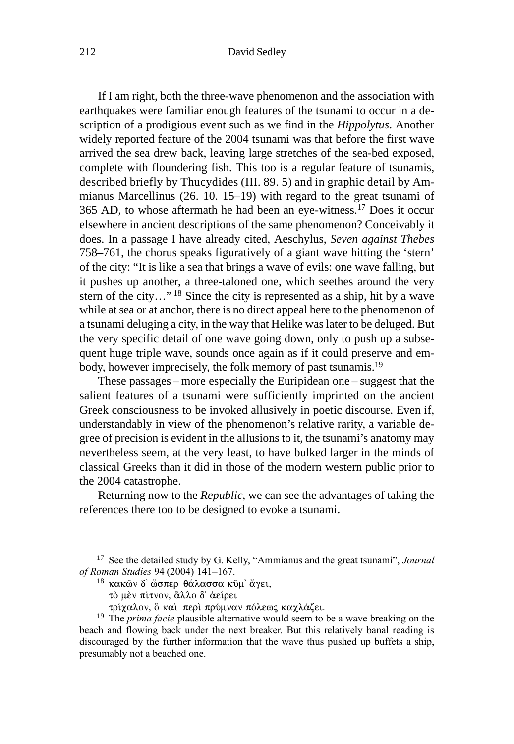#### 212 David Sedley

If I am right, both the three-wave phenomenon and the association with earthquakes were familiar enough features of the tsunami to occur in a description of a prodigious event such as we find in the *Hippolytus*. Another widely reported feature of the 2004 tsunami was that before the first wave arrived the sea drew back, leaving large stretches of the sea-bed exposed, complete with floundering fish. This too is a regular feature of tsunamis, described briefly by Thucydides (III. 89. 5) and in graphic detail by Ammianus Marcellinus (26. 10. 15–19) with regard to the great tsunami of 365 AD, to whose aftermath he had been an eye-witness.17 Does it occur elsewhere in ancient descriptions of the same phenomenon? Conceivably it does. In a passage I have already cited, Aeschylus, *Seven against Thebes* 758–761, the chorus speaks figuratively of a giant wave hitting the 'stern' of the city: "It is like a sea that brings a wave of evils: one wave falling, but it pushes up another, a three-taloned one, which seethes around the very stern of the city…" 18 Since the city is represented as a ship, hit by a wave while at sea or at anchor, there is no direct appeal here to the phenomenon of a tsunami deluging a city, in the way that Helike was later to be deluged. But the very specific detail of one wave going down, only to push up a subsequent huge triple wave, sounds once again as if it could preserve and embody, however imprecisely, the folk memory of past tsunamis.19

These passages – more especially the Euripidean one – suggest that the salient features of a tsunami were sufficiently imprinted on the ancient Greek consciousness to be invoked allusively in poetic discourse. Even if, understandably in view of the phenomenon's relative rarity, a variable degree of precision is evident in the allusions to it, the tsunami's anatomy may nevertheless seem, at the very least, to have bulked larger in the minds of classical Greeks than it did in those of the modern western public prior to the 2004 catastrophe.

Returning now to the *Republic*, we can see the advantages of taking the references there too to be designed to evoke a tsunami.

<sup>&</sup>lt;sup>17</sup> See the detailed study by G. Kelly, "Ammianus and the great tsunami", Journal of Roman Studies 94 (2004) 141-167.

 $^{18}$  κακῶν δ' ὥσπερ θάλασσα κῦμ' ἄγει,

τὸ μὲν πίτνον, ἄλλο δ' ἀείρει

τρίχαλον, ὃ καὶ περὶ πρύμναν πόλεως καχλάζει.

<sup>&</sup>lt;sup>19</sup> The *prima facie* plausible alternative would seem to be a wave breaking on the beach and flowing back under the next breaker. But this relatively banal reading is discouraged by the further information that the wave thus pushed up buffets a ship, presumably not a beached one.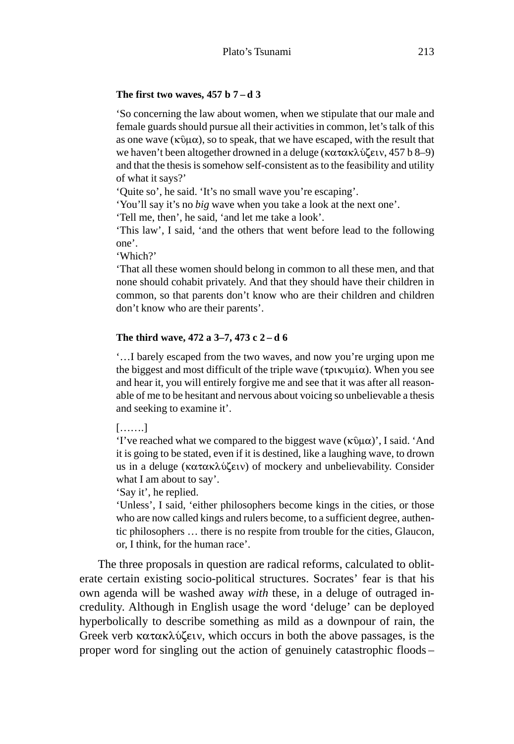## **The first two waves, 457 b 7 – d 3**

'So concerning the law about women, when we stipulate that our male and female guards should pursue all their activities in common, let's talk of this as one wave ( $\kappa$ 0 $\mu$  $\alpha$ ), so to speak, that we have escaped, with the result that we haven't been altogether drowned in a deluge  $(\kappa \alpha \tau \alpha \kappa \lambda \omega \zeta \epsilon \nu, 457 b 8-9)$ and that the thesis is somehow self-consistent as to the feasibility and utility of what it says?'

'Quite so', he said. 'It's no small wave you're escaping'.

'You'll say it's no *big* wave when you take a look at the next one'.

'Tell me, then', he said, 'and let me take a look'.

'This law', I said, 'and the others that went before lead to the following one'.

'Which?'

'That all these women should belong in common to all these men, and that none should cohabit privately. And that they should have their children in common, so that parents don't know who are their children and children don't know who are their parents'.

## **The third wave, 472 a 3–7, 473 c 2 – d 6**

'…I barely escaped from the two waves, and now you're urging upon me the biggest and most difficult of the triple wave ( $\tau$  $\rho$ ικυμία). When you see and hear it, you will entirely forgive me and see that it was after all reasonable of me to be hesitant and nervous about voicing so unbelievable a thesis and seeking to examine it'.

[…….]

'I've reached what we compared to the biggest wave  $(\kappa \hat{v} \mu \alpha)'$ , I said. 'And it is going to be stated, even if it is destined, like a laughing wave, to drown us in a deluge ( $\kappa \alpha \tau \alpha \kappa \lambda \psi(\epsilon \nu)$  of mockery and unbelievability. Consider what I am about to say'.

'Say it', he replied.

'Unless', I said, 'either philosophers become kings in the cities, or those who are now called kings and rulers become, to a sufficient degree, authentic philosophers … there is no respite from trouble for the cities, Glaucon, or, I think, for the human race'.

The three proposals in question are radical reforms, calculated to obliterate certain existing socio-political structures. Socrates' fear is that his own agenda will be washed away *with* these, in a deluge of outraged incredulity. Although in English usage the word 'deluge' can be deployed hyperbolically to describe something as mild as a downpour of rain, the Greek verb  $\kappa \alpha \tau \alpha \kappa \lambda \omega \zeta \epsilon \nu$ , which occurs in both the above passages, is the proper word for singling out the action of genuinely catastrophic floods –